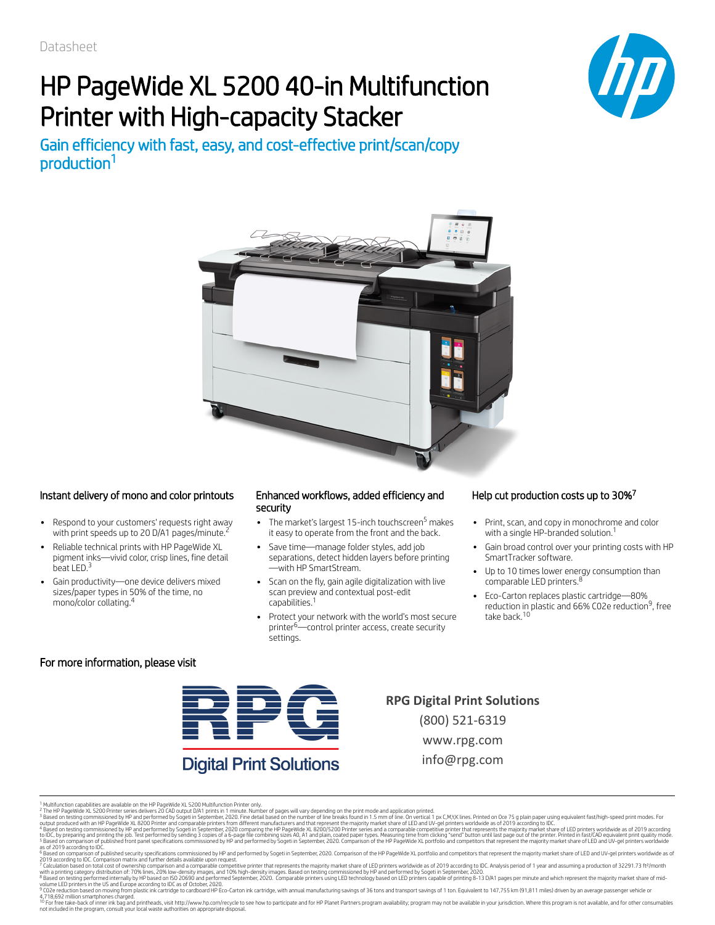# HP PageWide XL 5200 40-in Multifunction Printer with High-capacity Stacker

Gain efficiency with fast, easy, and cost-effective print/scan/copy production 1





#### Instant delivery of mono and color printouts Enhanced workflows, added efficiency and

- Respond to your customers' requests right away with print speeds up to 20 D/A1 pages/minute.<sup>2</sup>
- Reliable technical prints with HP PageWide XL pigment inks—vivid color, crisp lines, fine detail beat LED.<sup>3</sup>
- Gain productivity—one device delivers mixed sizes/paper types in 50% of the time, no mono/color collating. 4

## security

- The market's largest 15-inch touchscreen<sup>5</sup> makes it easy to operate from the front and the back.
- Save time—manage folder styles, add job separations, detect hidden layers before printing —with HP SmartStream.
- Scan on the fly, gain agile digitalization with live scan preview and contextual post-edit capabilities. 1
- Protect your network with the world's most secure printer<sup>6—</sup>control printer access, create security settings.

#### Help cut production costs up to 30%<sup>7</sup>

- Print, scan, and copy in monochrome and color with a single HP-branded solution. 1
- Gain broad control over your printing costs with HP SmartTracker software.
- Up to 10 times lower energy consumption than comparable LED printers.<sup>8</sup>
- Eco-Carton replaces plastic cartridge—80% reduction in plastic and 66% C02e reduction<sup>9</sup>, free take back. 10

#### For more information, please visit



## **Digital Print Solutions**

**RPG Digital Print Solutions** (800) 521-6319 www.rpg.com info@rpg.com

| Mulfundion capabilities are available on the PPageWide X. ESO Mulfundion Printe only.<br>| Mulfundion capabilities are available on the PPageWide X. ESO PMI in the Fage of Mulfundion Printe of pages will vary depending on t 4 5

7 8

10

<sup>1</sup> 2 3

<sup>6</sup>

<sup>9</sup>